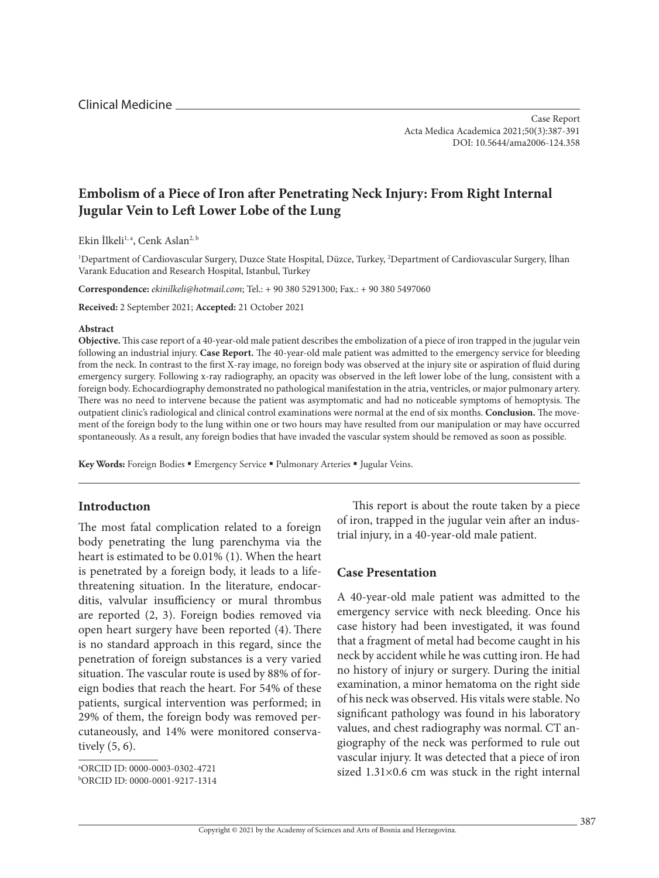# **Embolism of a Piece of Iron after Penetrating Neck Injury: From Right Internal Jugular Vein to Left Lower Lobe of the Lung**

Ekin İlkeli<sup>1, a</sup>, Cenk Aslan<sup>2, b</sup>

1 Department of Cardiovascular Surgery, Duzce State Hospital, Düzce, Turkey, 2 Department of Cardiovascular Surgery, İlhan Varank Education and Research Hospital, Istanbul, Turkey

**Correspondence:** *[ekinilkeli@hotmail.com](mailto:ekinilkeli@hotmail.com)*; Tel.: + 90 380 5291300; Fax.: + 90 380 5497060

**Received:** 2 September 2021; **Accepted:** 21 October 2021

#### **Abstract**

**Objective.** This case report of a 40-year-old male patient describes the embolization of a piece of iron trapped in the jugular vein following an industrial injury. **Case Report.** The 40-year-old male patient was admitted to the emergency service for bleeding from the neck. In contrast to the first X-ray image, no foreign body was observed at the injury site or aspiration of fluid during emergency surgery. Following x-ray radiography, an opacity was observed in the left lower lobe of the lung, consistent with a foreign body. Echocardiography demonstrated no pathological manifestation in the atria, ventricles, or major pulmonary artery. There was no need to intervene because the patient was asymptomatic and had no noticeable symptoms of hemoptysis. The outpatient clinic's radiological and clinical control examinations were normal at the end of six months. **Conclusion.** The movement of the foreign body to the lung within one or two hours may have resulted from our manipulation or may have occurred spontaneously. As a result, any foreign bodies that have invaded the vascular system should be removed as soon as possible.

Key Words: Foreign Bodies . Emergency Service . Pulmonary Arteries . Jugular Veins.

### **Introductıon**

The most fatal complication related to a foreign body penetrating the lung parenchyma via the heart is estimated to be 0.01% (1). When the heart is penetrated by a foreign body, it leads to a lifethreatening situation. In the literature, endocarditis, valvular insufficiency or mural thrombus are reported (2, 3). Foreign bodies removed via open heart surgery have been reported (4). There is no standard approach in this regard, since the penetration of foreign substances is a very varied situation. The vascular route is used by 88% of foreign bodies that reach the heart. For 54% of these patients, surgical intervention was performed; in 29% of them, the foreign body was removed percutaneously, and 14% were monitored conservatively (5, 6).

This report is about the route taken by a piece of iron, trapped in the jugular vein after an industrial injury, in a 40-year-old male patient.

# **Case Presentation**

A 40-year-old male patient was admitted to the emergency service with neck bleeding. Once his case history had been investigated, it was found that a fragment of metal had become caught in his neck by accident while he was cutting iron. He had no history of injury or surgery. During the initial examination, a minor hematoma on the right side of his neck was observed. His vitals were stable. No significant pathology was found in his laboratory values, and chest radiography was normal. CT angiography of the neck was performed to rule out vascular injury. It was detected that a piece of iron sized 1.31×0.6 cm was stuck in the right internal

a ORCID ID: 0000-0003-0302-4721 b ORCID ID: 0000-0001-9217-1314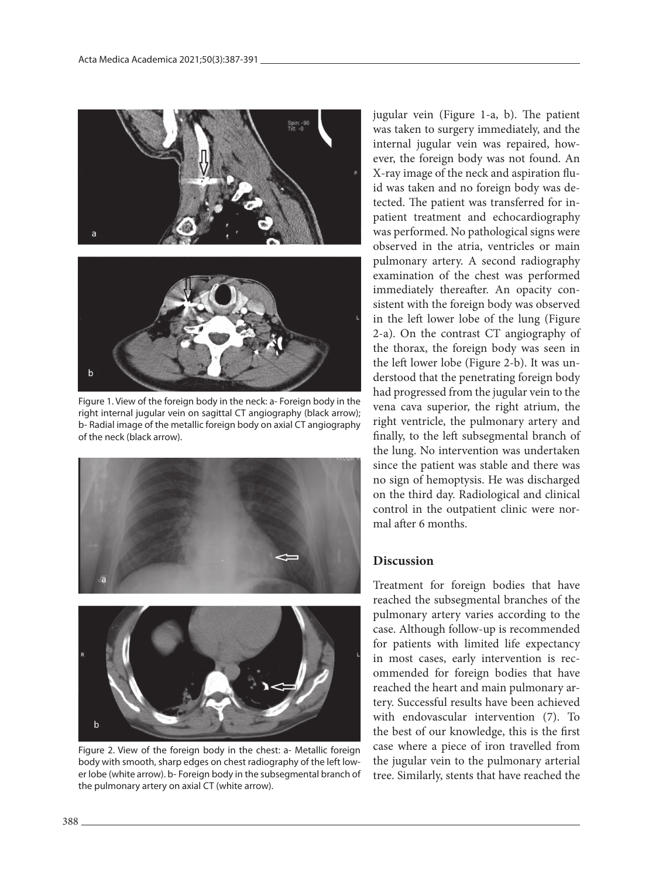

Figure 1. View of the foreign body in the neck: a- Foreign body in the right internal jugular vein on sagittal CT angiography (black arrow); b- Radial image of the metallic foreign body on axial CT angiography of the neck (black arrow).



Figure 2. View of the foreign body in the chest: a- Metallic foreign body with smooth, sharp edges on chest radiography of the left lower lobe (white arrow). b- Foreign body in the subsegmental branch of the pulmonary artery on axial CT (white arrow).

jugular vein (Figure 1-a, b). The patient was taken to surgery immediately, and the internal jugular vein was repaired, however, the foreign body was not found. An X-ray image of the neck and aspiration fluid was taken and no foreign body was detected. The patient was transferred for inpatient treatment and echocardiography was performed. No pathological signs were observed in the atria, ventricles or main pulmonary artery. A second radiography examination of the chest was performed immediately thereafter. An opacity consistent with the foreign body was observed in the left lower lobe of the lung (Figure 2-a). On the contrast CT angiography of the thorax, the foreign body was seen in the left lower lobe (Figure 2-b). It was understood that the penetrating foreign body had progressed from the jugular vein to the vena cava superior, the right atrium, the right ventricle, the pulmonary artery and finally, to the left subsegmental branch of the lung. No intervention was undertaken since the patient was stable and there was no sign of hemoptysis. He was discharged on the third day. Radiological and clinical control in the outpatient clinic were normal after 6 months.

# **Discussion**

Treatment for foreign bodies that have reached the subsegmental branches of the pulmonary artery varies according to the case. Although follow-up is recommended for patients with limited life expectancy in most cases, early intervention is recommended for foreign bodies that have reached the heart and main pulmonary artery. Successful results have been achieved with endovascular intervention (7). To the best of our knowledge, this is the first case where a piece of iron travelled from the jugular vein to the pulmonary arterial tree. Similarly, stents that have reached the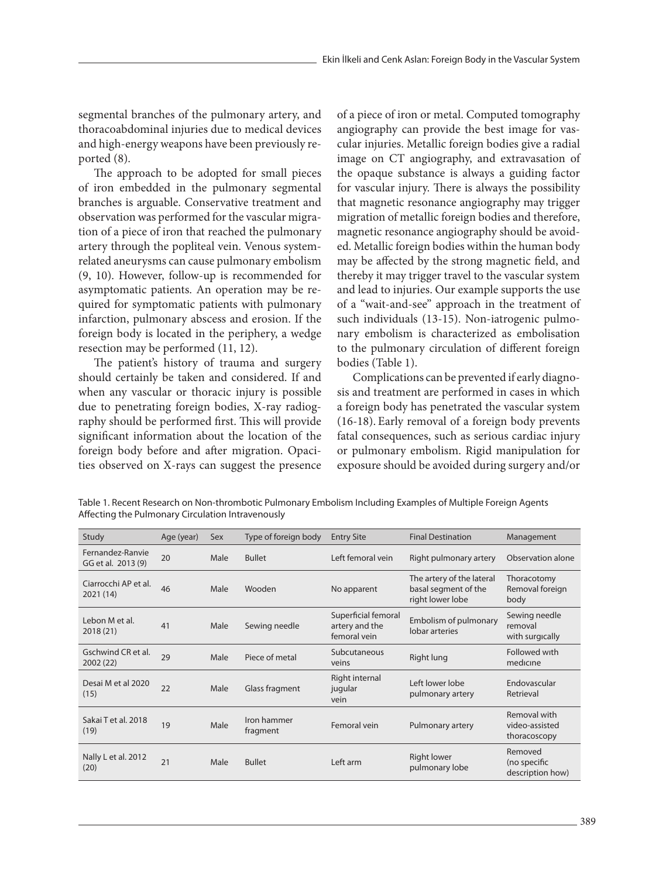segmental branches of the pulmonary artery, and thoracoabdominal injuries due to medical devices and high-energy weapons have been previously reported (8).

The approach to be adopted for small pieces of iron embedded in the pulmonary segmental branches is arguable. Conservative treatment and observation was performed for the vascular migration of a piece of iron that reached the pulmonary artery through the popliteal vein. Venous systemrelated aneurysms can cause pulmonary embolism (9, 10). However, follow-up is recommended for asymptomatic patients. An operation may be required for symptomatic patients with pulmonary infarction, pulmonary abscess and erosion. If the foreign body is located in the periphery, a wedge resection may be performed (11, 12).

The patient's history of trauma and surgery should certainly be taken and considered. If and when any vascular or thoracic injury is possible due to penetrating foreign bodies, X-ray radiography should be performed first. This will provide significant information about the location of the foreign body before and after migration. Opacities observed on X-rays can suggest the presence

of a piece of iron or metal. Computed tomography angiography can provide the best image for vascular injuries. Metallic foreign bodies give a radial image on CT angiography, and extravasation of the opaque substance is always a guiding factor for vascular injury. There is always the possibility that magnetic resonance angiography may trigger migration of metallic foreign bodies and therefore, magnetic resonance angiography should be avoided. Metallic foreign bodies within the human body may be affected by the strong magnetic field, and thereby it may trigger travel to the vascular system and lead to injuries. Our example supports the use of a "wait-and-see" approach in the treatment of such individuals (13-15). Non-iatrogenic pulmonary embolism is characterized as embolisation to the pulmonary circulation of different foreign bodies (Table 1).

Complications can be prevented if early diagnosis and treatment are performed in cases in which a foreign body has penetrated the vascular system (16-18). Early removal of a foreign body prevents fatal consequences, such as serious cardiac injury or pulmonary embolism. Rigid manipulation for exposure should be avoided during surgery and/or

Table 1. Recent Research on Non-thrombotic Pulmonary Embolism Including Examples of Multiple Foreign Agents Affecting the Pulmonary Circulation Intravenously

| Study                                  | Age (year) | Sex  | Type of foreign body    | <b>Entry Site</b>                                     | <b>Final Destination</b>                                              | Management                                     |
|----------------------------------------|------------|------|-------------------------|-------------------------------------------------------|-----------------------------------------------------------------------|------------------------------------------------|
| Fernandez-Ranvie<br>GG et al. 2013 (9) | 20         | Male | <b>Bullet</b>           | Left femoral vein                                     | Right pulmonary artery                                                | Observation alone                              |
| Ciarrocchi AP et al.<br>2021 (14)      | 46         | Male | Wooden                  | No apparent                                           | The artery of the lateral<br>basal segment of the<br>right lower lobe | Thoracotomy<br>Removal foreign<br>body         |
| Lebon M et al.<br>2018 (21)            | 41         | Male | Sewing needle           | Superficial femoral<br>artery and the<br>femoral vein | Embolism of pulmonary<br>lobar arteries                               | Sewing needle<br>removal<br>with surgically    |
| Gschwind CR et al.<br>2002 (22)        | 29         | Male | Piece of metal          | Subcutaneous<br>veins                                 | Right lung                                                            | Followed with<br>medicine                      |
| Desai M et al 2020<br>(15)             | 22         | Male | Glass fragment          | Right internal<br>jugular<br>vein                     | Left lower lobe<br>pulmonary artery                                   | <b>Endovascular</b><br>Retrieval               |
| Sakai T et al. 2018<br>(19)            | 19         | Male | Iron hammer<br>fragment | Femoral vein                                          | Pulmonary artery                                                      | Removal with<br>video-assisted<br>thoracoscopy |
| Nally L et al. 2012<br>(20)            | 21         | Male | <b>Bullet</b>           | Left arm                                              | Right lower<br>pulmonary lobe                                         | Removed<br>(no specific<br>description how)    |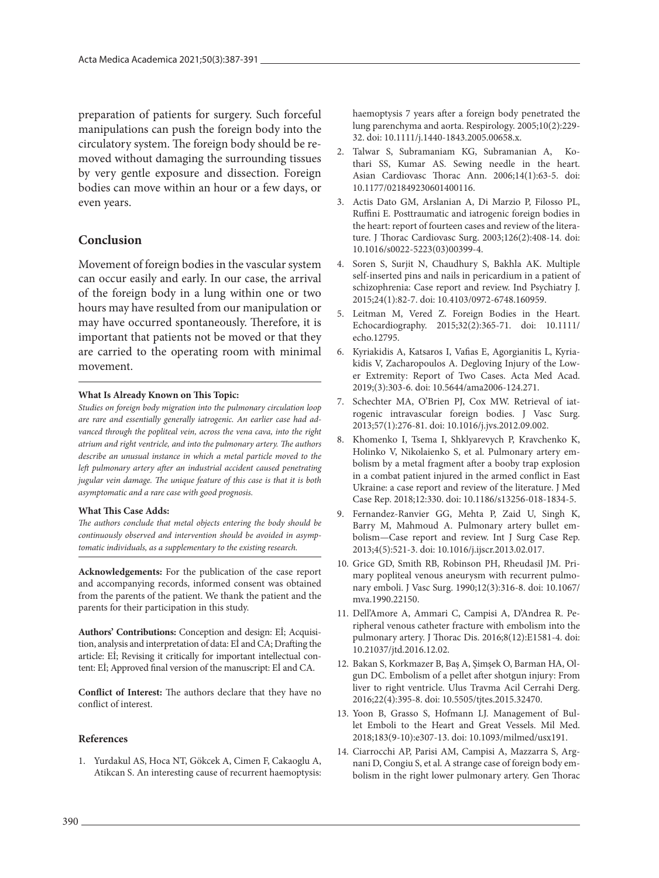preparation of patients for surgery. Such forceful manipulations can push the foreign body into the circulatory system. The foreign body should be removed without damaging the surrounding tissues by very gentle exposure and dissection. Foreign bodies can move within an hour or a few days, or even years.

### **Conclusion**

Movement of foreign bodies in the vascular system can occur easily and early. In our case, the arrival of the foreign body in a lung within one or two hours may have resulted from our manipulation or may have occurred spontaneously. Therefore, it is important that patients not be moved or that they are carried to the operating room with minimal movement.

#### **What Is Already Known on This Topic:**

*Studies on foreign body migration into the pulmonary circulation loop are rare and essentially generally iatrogenic. An earlier case had advanced through the popliteal vein, across the vena cava, into the right atrium and right ventricle, and into the pulmonary artery. The authors describe an unusual instance in which a metal particle moved to the left pulmonary artery after an industrial accident caused penetrating jugular vein damage. The unique feature of this case is that it is both asymptomatic and a rare case with good prognosis.*

### **What This Case Adds:**

*The authors conclude that metal objects entering the body should be continuously observed and intervention should be avoided in asymptomatic individuals, as a supplementary to the existing research.*

**Acknowledgements:** For the publication of the case report and accompanying records, informed consent was obtained from the parents of the patient. We thank the patient and the parents for their participation in this study.

**Authors' Contributions:** Conception and design: Eİ; Acquisition, analysis and interpretation of data: Eİ and CA; Drafting the article: Eİ; Revising it critically for important intellectual content: Eİ; Approved final version of the manuscript: Eİ and CA.

**Conflict of Interest:** The authors declare that they have no conflict of interest.

### **References**

1. Yurdakul AS, Hoca NT, Gökcek A, Cimen F, Cakaoglu A, Atikcan S. An interesting cause of recurrent haemoptysis: haemoptysis 7 years after a foreign body penetrated the lung parenchyma and aorta. Respirology. 2005;10(2):229- 32. doi: 10.1111/j.1440-1843.2005.00658.x.

- 2. Talwar S, Subramaniam KG, Subramanian A, Kothari SS, Kumar AS. Sewing needle in the heart. Asian Cardiovasc Thorac Ann. 2006;14(1):63-5. doi: 10.1177/021849230601400116.
- 3. Actis Dato GM, Arslanian A, Di Marzio P, Filosso PL, Ruffini E. Posttraumatic and iatrogenic foreign bodies in the heart: report of fourteen cases and review of the literature. J Thorac Cardiovasc Surg. 2003;126(2):408-14. doi: 10.1016/s0022-5223(03)00399-4.
- 4. Soren S, Surjit N, Chaudhury S, Bakhla AK. Multiple self-inserted pins and nails in pericardium in a patient of schizophrenia: Case report and review. Ind Psychiatry J. 2015;24(1):82-7. doi: 10.4103/0972-6748.160959.
- 5. Leitman M, Vered Z. Foreign Bodies in the Heart. Echocardiography. 2015;32(2):365-71. doi: 10.1111/ echo.12795.
- 6. Kyriakidis A, Katsaros I, Vafias E, Agorgianitis L, Kyriakidis V, Zacharopoulos A. Degloving Injury of the Lower Extremity: Report of Two Cases. Acta Med Acad. 2019;(3):303-6. doi: 10.5644/ama2006-124.271.
- 7. Schechter MA, O'Brien PJ, Cox MW. Retrieval of iatrogenic intravascular foreign bodies. J Vasc Surg. 2013;57(1):276-81. doi: 10.1016/j.jvs.2012.09.002.
- 8. Khomenko I, Tsema I, Shklyarevych P, Kravchenko K, Holinko V, Nikolaienko S, et al. Pulmonary artery embolism by a metal fragment after a booby trap explosion in a combat patient injured in the armed conflict in East Ukraine: a case report and review of the literature. J Med Case Rep. 2018;12:330. doi: 10.1186/s13256-018-1834-5.
- 9. Fernandez-Ranvier GG, Mehta P, Zaid U, Singh K, Barry M, Mahmoud A. Pulmonary artery bullet embolism—Case report and review. Int J Surg Case Rep. 2013;4(5):521-3. doi: 10.1016/j.ijscr.2013.02.017.
- 10. Grice GD, Smith RB, Robinson PH, Rheudasil JM. Primary popliteal venous aneurysm with recurrent pulmonary emboli. J Vasc Surg. 1990;12(3):316-8. doi: 10.1067/ mva.1990.22150.
- 11. Dell'Amore A, Ammari C, Campisi A, D'Andrea R. Peripheral venous catheter fracture with embolism into the pulmonary artery. J Thorac Dis. 2016;8(12):E1581-4. doi: 10.21037/jtd.2016.12.02.
- 12. Bakan S, Korkmazer B, Baş A, Şimşek O, Barman HA, Olgun DC. Embolism of a pellet after shotgun injury: From liver to right ventricle. Ulus Travma Acil Cerrahi Derg. 2016;22(4):395-8. doi: 10.5505/tjtes.2015.32470.
- 13. Yoon B, Grasso S, Hofmann LJ. Management of Bullet Emboli to the Heart and Great Vessels. Mil Med. 2018;183(9-10):e307-13. doi: 10.1093/milmed/usx191.
- 14. Ciarrocchi AP, Parisi AM, Campisi A, Mazzarra S, Argnani D, Congiu S, et al. A strange case of foreign body embolism in the right lower pulmonary artery. Gen Thorac